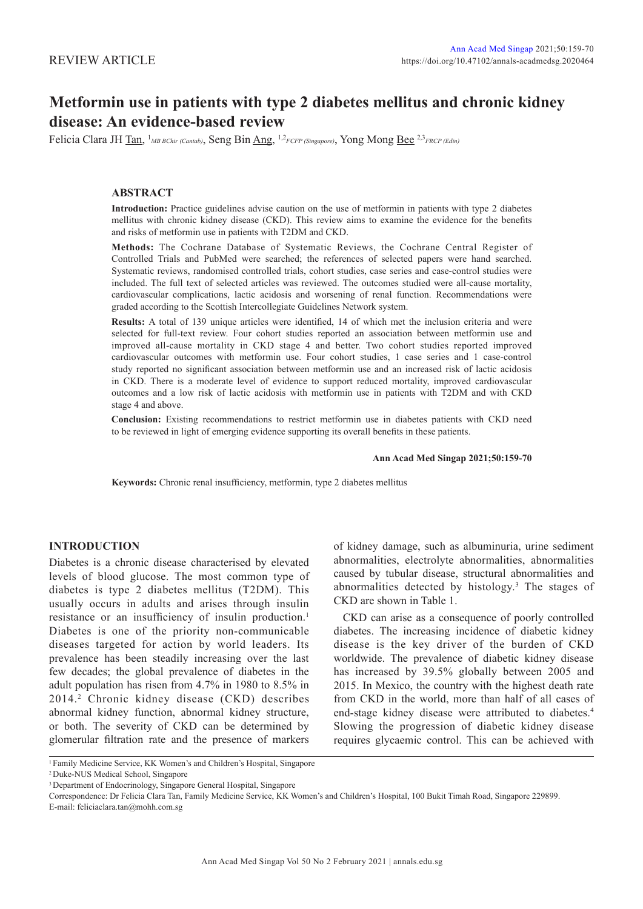# **Metformin use in patients with type 2 diabetes mellitus and chronic kidney disease: An evidence-based review**

Felicia Clara JH Tan, 1 *MB BChir (Cantab)*, Seng Bin Ang, 1,2*FCFP (Singapore)*, Yong Mong Bee 2,3*FRCP (Edin)*

# **ABSTRACT**

**Introduction:** Practice guidelines advise caution on the use of metformin in patients with type 2 diabetes mellitus with chronic kidney disease (CKD). This review aims to examine the evidence for the benefits and risks of metformin use in patients with T2DM and CKD.

**Methods:** The Cochrane Database of Systematic Reviews, the Cochrane Central Register of Controlled Trials and PubMed were searched; the references of selected papers were hand searched. Systematic reviews, randomised controlled trials, cohort studies, case series and case-control studies were included. The full text of selected articles was reviewed. The outcomes studied were all-cause mortality, cardiovascular complications, lactic acidosis and worsening of renal function. Recommendations were graded according to the Scottish Intercollegiate Guidelines Network system.

**Results:** A total of 139 unique articles were identified, 14 of which met the inclusion criteria and were selected for full-text review. Four cohort studies reported an association between metformin use and improved all-cause mortality in CKD stage 4 and better. Two cohort studies reported improved cardiovascular outcomes with metformin use. Four cohort studies, 1 case series and 1 case-control study reported no significant association between metformin use and an increased risk of lactic acidosis in CKD. There is a moderate level of evidence to support reduced mortality, improved cardiovascular outcomes and a low risk of lactic acidosis with metformin use in patients with T2DM and with CKD stage 4 and above.

**Conclusion:** Existing recommendations to restrict metformin use in diabetes patients with CKD need to be reviewed in light of emerging evidence supporting its overall benefits in these patients.

# **Ann Acad Med Singap 2021;50:159-70**

**Keywords:** Chronic renal insufficiency, metformin, type 2 diabetes mellitus

# **INTRODUCTION**

Diabetes is a chronic disease characterised by elevated levels of blood glucose. The most common type of diabetes is type 2 diabetes mellitus (T2DM). This usually occurs in adults and arises through insulin resistance or an insufficiency of insulin production.<sup>1</sup> Diabetes is one of the priority non-communicable diseases targeted for action by world leaders. Its prevalence has been steadily increasing over the last few decades; the global prevalence of diabetes in the adult population has risen from 4.7% in 1980 to 8.5% in 2014.<sup>2</sup> Chronic kidney disease (CKD) describes abnormal kidney function, abnormal kidney structure, or both. The severity of CKD can be determined by glomerular filtration rate and the presence of markers

of kidney damage, such as albuminuria, urine sediment abnormalities, electrolyte abnormalities, abnormalities caused by tubular disease, structural abnormalities and abnormalities detected by histology.<sup>3</sup> The stages of CKD are shown in Table 1.

CKD can arise as a consequence of poorly controlled diabetes. The increasing incidence of diabetic kidney disease is the key driver of the burden of CKD worldwide. The prevalence of diabetic kidney disease has increased by 39.5% globally between 2005 and 2015. In Mexico, the country with the highest death rate from CKD in the world, more than half of all cases of end-stage kidney disease were attributed to diabetes.<sup>4</sup> Slowing the progression of diabetic kidney disease requires glycaemic control. This can be achieved with

<sup>1</sup> Family Medicine Service, KK Women's and Children's Hospital, Singapore 2 Duke-NUS Medical School, Singapore

<sup>3</sup> Department of Endocrinology, Singapore General Hospital, Singapore

Correspondence: Dr Felicia Clara Tan, Family Medicine Service, KK Women's and Children's Hospital, 100 Bukit Timah Road, Singapore 229899. E-mail: feliciaclara.tan@mohh.com.sg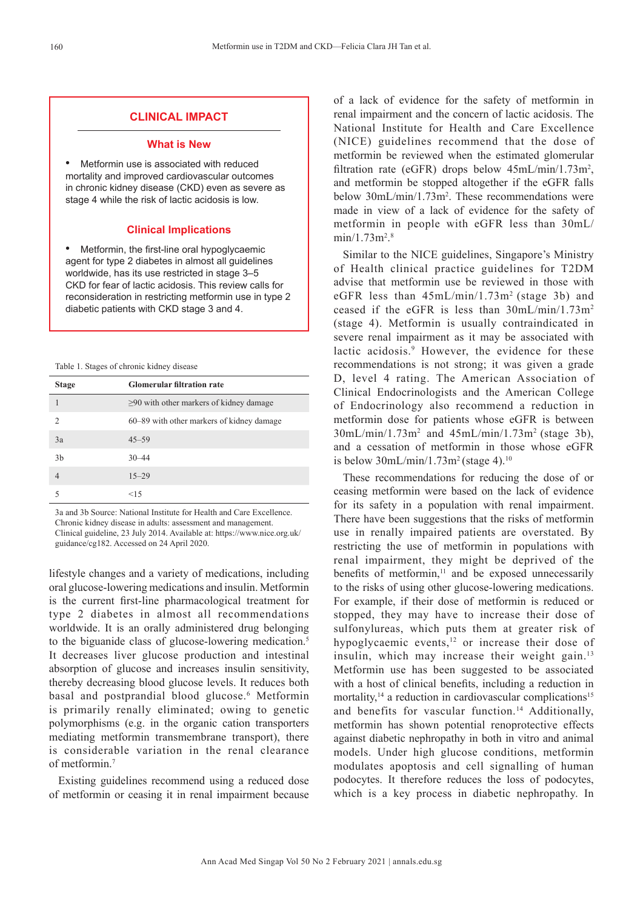## **CLINICAL IMPACT**

#### **What is New**

• Metformin use is associated with reduced mortality and improved cardiovascular outcomes in chronic kidney disease (CKD) even as severe as stage 4 while the risk of lactic acidosis is low.

### **Clinical Implications**

• Metformin, the first-line oral hypoglycaemic agent for type 2 diabetes in almost all guidelines worldwide, has its use restricted in stage 3–5 CKD for fear of lactic acidosis. This review calls for reconsideration in restricting metformin use in type 2 diabetic patients with CKD stage 3 and 4.

| Table 1. Stages of chronic kidney disease |  |  |  |  |
|-------------------------------------------|--|--|--|--|
|-------------------------------------------|--|--|--|--|

| <b>Stage</b>   | <b>Glomerular filtration rate</b>             |
|----------------|-----------------------------------------------|
|                | $\geq$ 90 with other markers of kidney damage |
| $\mathcal{L}$  | 60–89 with other markers of kidney damage     |
| 3a             | $45 - 59$                                     |
| 3 <sub>b</sub> | $30 - 44$                                     |
|                | $15 - 29$                                     |
|                | <15                                           |

3a and 3b Source: National Institute for Health and Care Excellence. Chronic kidney disease in adults: assessment and management. Clinical guideline, 23 July 2014. Available at: https://www.nice.org.uk/ guidance/cg182. Accessed on 24 April 2020.

lifestyle changes and a variety of medications, including oral glucose-lowering medications and insulin. Metformin is the current first-line pharmacological treatment for type 2 diabetes in almost all recommendations worldwide. It is an orally administered drug belonging to the biguanide class of glucose-lowering medication.<sup>5</sup> It decreases liver glucose production and intestinal absorption of glucose and increases insulin sensitivity, thereby decreasing blood glucose levels. It reduces both basal and postprandial blood glucose.<sup>6</sup> Metformin is primarily renally eliminated; owing to genetic polymorphisms (e.g. in the organic cation transporters mediating metformin transmembrane transport), there is considerable variation in the renal clearance of metformin.<sup>7</sup>

Existing guidelines recommend using a reduced dose of metformin or ceasing it in renal impairment because of a lack of evidence for the safety of metformin in renal impairment and the concern of lactic acidosis. The National Institute for Health and Care Excellence (NICE) guidelines recommend that the dose of metformin be reviewed when the estimated glomerular filtration rate (eGFR) drops below  $45 \text{mL/min}/1.73 \text{m}^2$ , and metformin be stopped altogether if the eGFR falls below 30mL/min/1.73m<sup>2</sup>. These recommendations were made in view of a lack of evidence for the safety of metformin in people with eGFR less than 30mL/  $min/1.73m^{2.8}$ 

Similar to the NICE guidelines, Singapore's Ministry of Health clinical practice guidelines for T2DM advise that metformin use be reviewed in those with eGFR less than  $45mL/min/1.73m^2$  (stage 3b) and ceased if the eGFR is less than 30mL/min/1.73m<sup>2</sup> (stage 4). Metformin is usually contraindicated in severe renal impairment as it may be associated with lactic acidosis.<sup>9</sup> However, the evidence for these recommendations is not strong; it was given a grade D, level 4 rating. The American Association of Clinical Endocrinologists and the American College of Endocrinology also recommend a reduction in metformin dose for patients whose eGFR is between  $30$ mL/min/1.73m<sup>2</sup> and  $45$ mL/min/1.73m<sup>2</sup> (stage 3b), and a cessation of metformin in those whose eGFR is below  $30$ mL/min/1.73m<sup>2</sup> (stage 4).<sup>10</sup>

These recommendations for reducing the dose of or ceasing metformin were based on the lack of evidence for its safety in a population with renal impairment. There have been suggestions that the risks of metformin use in renally impaired patients are overstated. By restricting the use of metformin in populations with renal impairment, they might be deprived of the benefits of metformin, $\frac{11}{11}$  and be exposed unnecessarily to the risks of using other glucose-lowering medications. For example, if their dose of metformin is reduced or stopped, they may have to increase their dose of sulfonylureas, which puts them at greater risk of hypoglycaemic events,<sup>12</sup> or increase their dose of insulin, which may increase their weight gain.<sup>13</sup> Metformin use has been suggested to be associated with a host of clinical benefits, including a reduction in mortality, $14$  a reduction in cardiovascular complications<sup>15</sup> and benefits for vascular function.<sup>14</sup> Additionally, metformin has shown potential renoprotective effects against diabetic nephropathy in both in vitro and animal models. Under high glucose conditions, metformin modulates apoptosis and cell signalling of human podocytes. It therefore reduces the loss of podocytes, which is a key process in diabetic nephropathy. In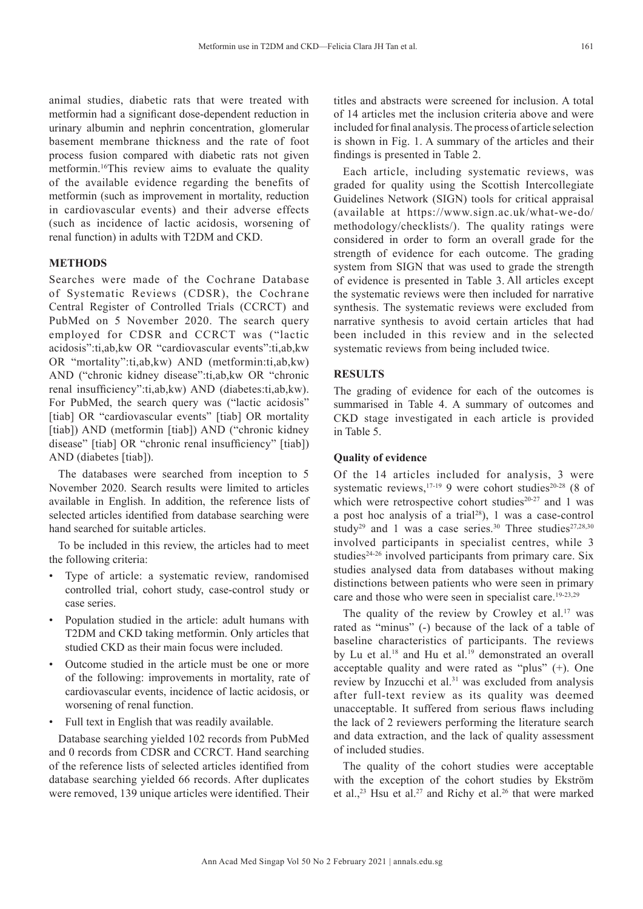animal studies, diabetic rats that were treated with metformin had a significant dose-dependent reduction in urinary albumin and nephrin concentration, glomerular basement membrane thickness and the rate of foot process fusion compared with diabetic rats not given metformin.<sup>16</sup>This review aims to evaluate the quality of the available evidence regarding the benefits of metformin (such as improvement in mortality, reduction in cardiovascular events) and their adverse effects (such as incidence of lactic acidosis, worsening of renal function) in adults with T2DM and CKD.

# **METHODS**

Searches were made of the Cochrane Database of Systematic Reviews (CDSR), the Cochrane Central Register of Controlled Trials (CCRCT) and PubMed on 5 November 2020. The search query employed for CDSR and CCRCT was ("lactic acidosis":ti,ab,kw OR "cardiovascular events":ti,ab,kw OR "mortality":ti,ab,kw) AND (metformin:ti,ab,kw) AND ("chronic kidney disease":ti,ab,kw OR "chronic renal insufficiency":ti,ab,kw) AND (diabetes:ti,ab,kw). For PubMed, the search query was ("lactic acidosis" [tiab] OR "cardiovascular events" [tiab] OR mortality [tiab]) AND (metformin [tiab]) AND ("chronic kidney disease" [tiab] OR "chronic renal insufficiency" [tiab]) AND (diabetes [tiab]).

The databases were searched from inception to 5 November 2020. Search results were limited to articles available in English. In addition, the reference lists of selected articles identified from database searching were hand searched for suitable articles.

To be included in this review, the articles had to meet the following criteria:

- Type of article: a systematic review, randomised controlled trial, cohort study, case-control study or case series.
- Population studied in the article: adult humans with T2DM and CKD taking metformin. Only articles that studied CKD as their main focus were included.
- Outcome studied in the article must be one or more of the following: improvements in mortality, rate of cardiovascular events, incidence of lactic acidosis, or worsening of renal function.
- Full text in English that was readily available.

Database searching yielded 102 records from PubMed and 0 records from CDSR and CCRCT. Hand searching of the reference lists of selected articles identified from database searching yielded 66 records. After duplicates were removed, 139 unique articles were identified. Their

titles and abstracts were screened for inclusion. A total of 14 articles met the inclusion criteria above and were included for final analysis. The process of article selection is shown in Fig. 1. A summary of the articles and their findings is presented in Table 2.

Each article, including systematic reviews, was graded for quality using the Scottish Intercollegiate Guidelines Network (SIGN) tools for critical appraisal (available at https://www.sign.ac.uk/what-we-do/ methodology/checklists/). The quality ratings were considered in order to form an overall grade for the strength of evidence for each outcome. The grading system from SIGN that was used to grade the strength of evidence is presented in Table 3. All articles except the systematic reviews were then included for narrative synthesis. The systematic reviews were excluded from narrative synthesis to avoid certain articles that had been included in this review and in the selected systematic reviews from being included twice.

# **RESULTS**

The grading of evidence for each of the outcomes is summarised in Table 4. A summary of outcomes and CKD stage investigated in each article is provided in Table 5.

# **Quality of evidence**

Of the 14 articles included for analysis, 3 were systematic reviews,  $17-19$  9 were cohort studies<sup>20-28</sup> (8 of which were retrospective cohort studies $20-27$  and 1 was a post hoc analysis of a trial<sup>28</sup>), 1 was a case-control study<sup>29</sup> and 1 was a case series.<sup>30</sup> Three studies<sup>27,28,30</sup> involved participants in specialist centres, while 3 studies<sup> $24-26$ </sup> involved participants from primary care. Six studies analysed data from databases without making distinctions between patients who were seen in primary care and those who were seen in specialist care.<sup>19-23,29</sup>

The quality of the review by Crowley et al.<sup>17</sup> was rated as "minus" (-) because of the lack of a table of baseline characteristics of participants. The reviews by Lu et al.<sup>18</sup> and Hu et al.<sup>19</sup> demonstrated an overall acceptable quality and were rated as "plus" (+). One review by Inzucchi et al.<sup>31</sup> was excluded from analysis after full-text review as its quality was deemed unacceptable. It suffered from serious flaws including the lack of 2 reviewers performing the literature search and data extraction, and the lack of quality assessment of included studies.

The quality of the cohort studies were acceptable with the exception of the cohort studies by Ekström et al.,<sup>23</sup> Hsu et al.<sup>27</sup> and Richy et al.<sup>26</sup> that were marked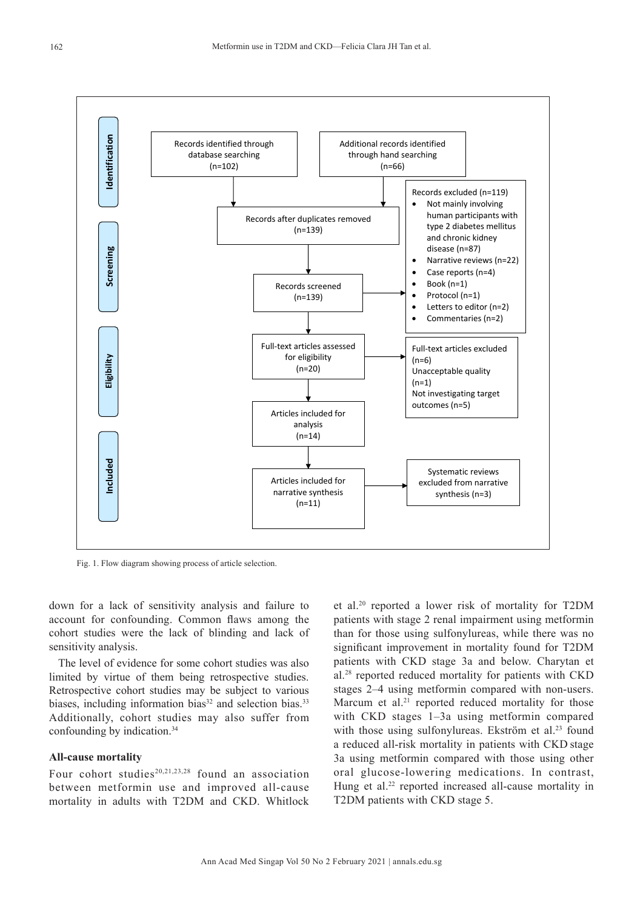

Fig. 1. Flow diagram showing process of article selection.

down for a lack of sensitivity analysis and failure to account for confounding. Common flaws among the cohort studies were the lack of blinding and lack of sensitivity analysis.

The level of evidence for some cohort studies was also limited by virtue of them being retrospective studies. Retrospective cohort studies may be subject to various biases, including information bias $33$  and selection bias.<sup>33</sup> Additionally, cohort studies may also suffer from confounding by indication.<sup>34</sup>

### **All-cause mortality**

Four cohort studies<sup>20,21,23,28</sup> found an association between metformin use and improved all-cause mortality in adults with T2DM and CKD. Whitlock et al.20 reported a lower risk of mortality for T2DM patients with stage 2 renal impairment using metformin than for those using sulfonylureas, while there was no significant improvement in mortality found for T2DM patients with CKD stage 3a and below. Charytan et al.28 reported reduced mortality for patients with CKD stages 2–4 using metformin compared with non-users. Marcum et al. $21$  reported reduced mortality for those with CKD stages 1–3a using metformin compared with those using sulfonylureas. Ekström et al.<sup>23</sup> found a reduced all-risk mortality in patients with CKD stage 3a using metformin compared with those using other oral glucose-lowering medications. In contrast, Hung et al. $22$  reported increased all-cause mortality in T2DM patients with CKD stage 5.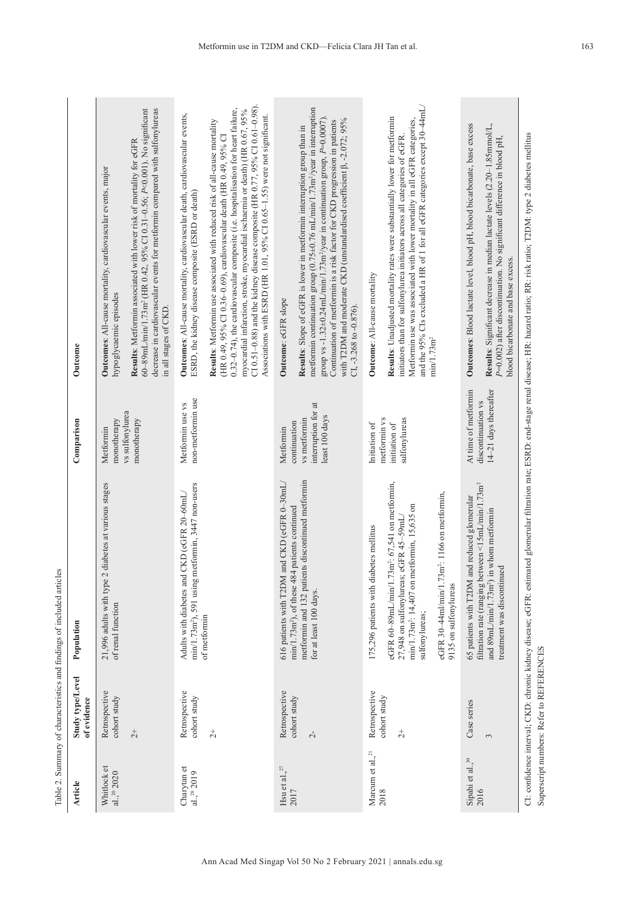| Article                                                                   | Study type/Level<br>of evidence          | Population                                                                                                                                                                     | Comparison                                                            | Outcome                                                                                                                                                                                                                                                                                                                                                                                                                                                                         |
|---------------------------------------------------------------------------|------------------------------------------|--------------------------------------------------------------------------------------------------------------------------------------------------------------------------------|-----------------------------------------------------------------------|---------------------------------------------------------------------------------------------------------------------------------------------------------------------------------------------------------------------------------------------------------------------------------------------------------------------------------------------------------------------------------------------------------------------------------------------------------------------------------|
| Whitlock et<br>al., $^{20}$ 2020                                          | Retrospective<br>cohort study            | 2 diabetes at various stages<br>21,996 adults with type<br>of renal function                                                                                                   | vs sulfonylurea<br>monotherapy<br>Metformin                           | Outcomes: All-cause mortality, cardiovascular events, major<br>hypoglycaemic episodes                                                                                                                                                                                                                                                                                                                                                                                           |
|                                                                           | $\overline{c}$                           |                                                                                                                                                                                | monotherapy                                                           | decrease in cardiovascular events for metformin compared with sulfonylureas<br>60-89mL/min/1.73m <sup>2</sup> (HR 0.42, 95% CI 0.31-0.56; P<0.001). No significant<br>Results: Metformin associated with lower risk of mortality for eGFR<br>in all stages of CKD.                                                                                                                                                                                                              |
| Charytan et<br>al., <sup>28</sup> 2019                                    | Retrospective<br>cohort study            | metformin, 3447 non-users<br>Adults with diabetes and CKD (eGFR 20-60mL/<br>min/1.73m <sup>2</sup> ), 591 using                                                                | non-metformin use<br>Metformin use vs                                 | Outcomes: All-cause mortality, cardiovascular death, cardiovascular events,<br>ESRD, the kidney disease composite (ESRD or death)                                                                                                                                                                                                                                                                                                                                               |
|                                                                           | $\frac{1}{2}$                            | of metformin                                                                                                                                                                   |                                                                       | CI 0.51-0.88) and the kidney disease composite (HR 0.77, 95% CI 0.61-0.98).<br>0.32-0.74), the cardiovascular composite (i.e. hospitalisation for heart failure,<br>myocardial infarction, stroke, myocardial ischaemia or death) (HR 0.67, 95%<br>Associations with ESRD (HR 1.01, 95% C1 0.65-1.55) were not significant.<br>Results: Metformin use associated with reduced risk of all-cause mortality<br>(HR 0.49, 95% CI 0.36-0.69), cardiovascular death (HR 0.49, 95% CI |
| Hsu et al., $^{27}$                                                       | Retrospective                            | 616 patients with T2DM and CKD (eGFR 0-30mL/                                                                                                                                   | Metformin                                                             | Outcome: eGFR slope                                                                                                                                                                                                                                                                                                                                                                                                                                                             |
| 2017                                                                      | cohort study<br>$\sim$                   | metformin and 132 patients discontinued metformin<br>min/1.73m <sup>2</sup> ), of these 484 patients continued<br>for at least 100 days.                                       | interruption for at<br>least 100 days<br>vs metformin<br>continuation | metformin continuation group (0.75±0.76 mL/min/1.73m <sup>2</sup> /year in interruption<br>group vs -1.32±0.24mL/min/1.73m <sup>2</sup> /year in continuation group, $P=0.0007$ ).<br>with T2DM and moderate CKD (unstandardised coefficient $\beta$ , -2.072; 95%<br>Continuation of metformin is a risk factor for CKD progression in patients<br>Results: Slope of eGFR is lower in metformin interruption group than in<br>CI, $-3.268$ to $-0.876$ ).                      |
| Marcum et al., <sup>21</sup><br>2018                                      | Retrospective                            | 175,296 patients with diabetes mellitus                                                                                                                                        | Initiation of                                                         | Outcome: All-cause mortality                                                                                                                                                                                                                                                                                                                                                                                                                                                    |
|                                                                           | cohort study<br>$\overline{c}$           | .73 $m^2$ : 67,541 on metformin,<br>min/1.73m <sup>2</sup> : 14,407 on metformin, 15,635 on<br>27,948 on sulfonylureas; eGFR 45-59mL/<br>eGFR 60-89mL/min/1.<br>sulfonylureas; | sulfonylureas<br>metformin vs<br>initiation of                        | and the 95% CIs excluded a HR of 1 for all eGFR categories except 30-44mL/<br>Results: Unadjusted mortality rates were substantially lower for metformin<br>Metformin use was associated with lower mortality in all eGFR categories,<br>initiators than for sulfonylurea initiators across all categories of eGFR.<br>min/1.73m <sup>2</sup>                                                                                                                                   |
|                                                                           |                                          | eGFR 30-44ml/min/1.73m <sup>2</sup> : 1166 on metformin,<br>9135 on sulfonylureas                                                                                              |                                                                       |                                                                                                                                                                                                                                                                                                                                                                                                                                                                                 |
| $\begin{array}{l} \rm{Sipahi \ et \ al.}, ^{30} \\ \rm{2016} \end{array}$ | Case series                              | filtration rate (ranging between <15mL/min/1.73m <sup>2</sup><br>and reduced glomerular<br>65 patients with T2DM                                                               | At time of metformin<br>discontinuation vs                            | Outcomes: Blood lactate level, blood pH, blood bicarbonate, base excess                                                                                                                                                                                                                                                                                                                                                                                                         |
|                                                                           | 3                                        | in whom metformin<br>treatment was discontinued<br>and $89mL/min/1.73m2$ )                                                                                                     | 14-21 days thereafter                                                 | Results: Significant decrease in median lactate levels (2.20-1.85mmol/L,<br>P=0.002) after discontinuation. No significant difference in blood pH,<br>blood bicarbonate and base excess.                                                                                                                                                                                                                                                                                        |
|                                                                           | Superscript numbers: Refer to REFERENCES |                                                                                                                                                                                |                                                                       | CI: confidence interval; CKD: chronic kidney disease; eGFR: estimated glomerular filtration rate; ESRD: end-stage renal disease; HR: hazard ratio; RR: risk ratio; T2DM: type 2 diabetes mellitus                                                                                                                                                                                                                                                                               |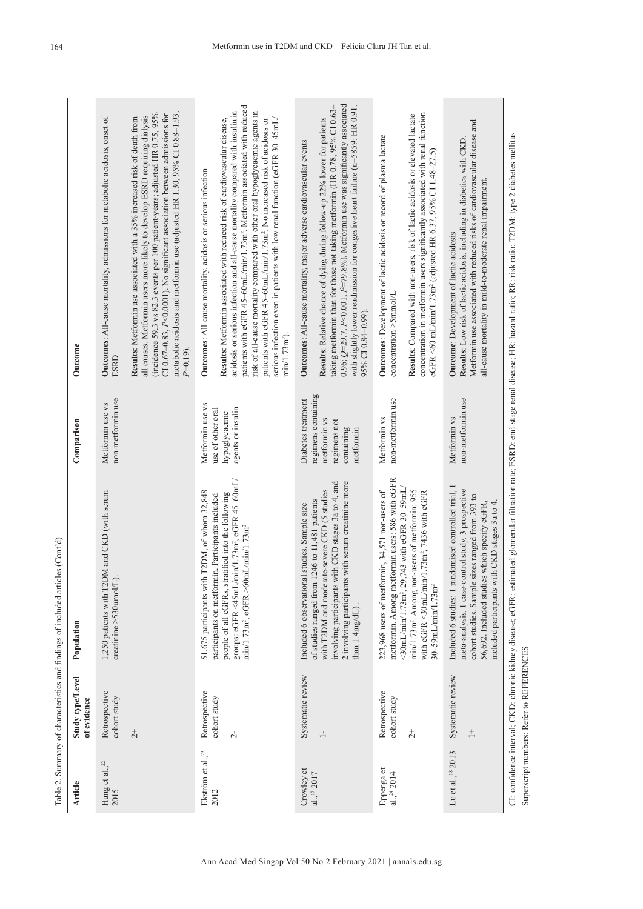| Article                         | Study type/Level<br>of evidence          | Population                                                                                                                                                                                                                                                      | Comparison                                                                     | Outcome                                                                                                                                                                                                                                                                                                                                                                                                                                                                                                                              |
|---------------------------------|------------------------------------------|-----------------------------------------------------------------------------------------------------------------------------------------------------------------------------------------------------------------------------------------------------------------|--------------------------------------------------------------------------------|--------------------------------------------------------------------------------------------------------------------------------------------------------------------------------------------------------------------------------------------------------------------------------------------------------------------------------------------------------------------------------------------------------------------------------------------------------------------------------------------------------------------------------------|
| Hung et al., $^{22}$<br>2015    | Retrospective<br>cohort study            | 1,250 patients with T2DM and CKD (with serum<br>creatinine >530µmol/L)                                                                                                                                                                                          | non-metformin use<br>Metformin use vs                                          | Outcomes: All-cause mortality, admissions for metabolic acidosis, onset of<br>ESRD                                                                                                                                                                                                                                                                                                                                                                                                                                                   |
|                                 | $\overline{c}$                           |                                                                                                                                                                                                                                                                 |                                                                                | metabolic acidosis and metformin use (adjusted HR 1.30, 95% CI 0.88-1.93,<br>(incidence 59.3 vs 82.3 events per 100 patient-years; adjusted HR 0.75, 95%<br>CI 0.67-0.83, P<0.0001). No significant association between admissions for<br>all causes. Metformin users more likely to develop ESRD requiring dialysis<br>Results: Metformin use associated with a 35% increased risk of death from<br>$P=0.19$                                                                                                                        |
| Ekström et al., <sup>23</sup>   | Retrospective                            | 51,675 participants with T2DM, of whom 32,848                                                                                                                                                                                                                   | Metformin use vs                                                               | Outcomes: All-cause mortality, acidosis or serious infection                                                                                                                                                                                                                                                                                                                                                                                                                                                                         |
| 2012                            | cohort study<br>$\sim$                   | groups: eGFR <45mL/min/1.73m <sup>2</sup> , eGFR 45-60mL<br>people of all eGFRs, stratified into the following<br>participants on metformin. Participants included<br>$min/1.73$ m <sup>2</sup> , eGFR >60mL/ $min/1.73$ m <sup>2</sup>                         | agents or insulin<br>use of other oral<br>hypoglycaemic                        | patients with eGFR 45-60mL/min/1.73m <sup>2</sup> . Metformin associated with reduced<br>acidosis or serious infection and all-cause mortality compared with insulin in<br>risk of all-cause mortality compared with other oral hypoglycaemic agents in<br>Results: Metformin associated with reduced risk of cardiovascular disease,<br>patients with eGFR 45-60mL/min/1.73m <sup>2</sup> . No increased risk of acidosis or<br>serious infection even in patients with low renal function (eGFR 30-45mL)<br>min/1.73m <sup>2</sup> |
| Crowley et                      | Systematic review                        | Included 6 observational studies. Sample size                                                                                                                                                                                                                   | Diabetes treatment                                                             | Outcomes: All-cause mortality, major adverse cardiovascular events                                                                                                                                                                                                                                                                                                                                                                                                                                                                   |
| al., $172017$                   | $\overline{\phantom{0}}$                 | involving participants with CKD stages 3a to 4, and<br>2 involving participants with serum creatinine more<br>with T2DM and moderate-severe CKD (5 studies<br>1246 to 11,481 patients<br>of studies ranged from<br>than $1.4mg/dL$ ).                           | regimens containing<br>metformin vs<br>regimens not<br>containing<br>metformin | 0.96; $Q=29.7$ , P<0.001, $I^2=79.8\%$ ). Metformin use was significantly associated<br>with slightly lower readmission for congestive heart failure (n=5859; HR 0.91,<br>taking metformin than for those not taking metformin (HR 0.78, 95% CI 0.63-<br>Results: Relative chance of dying during follow-up 22% lower for patients<br>95% CI 0.84-0.99)                                                                                                                                                                              |
| Eppenga et<br>al., $^{24}$ 2014 | Retrospective<br>cohort study            | metformin. Among metformin users: 586 with eGFR<br>223,968 users of metformin, 34,571 non-users of                                                                                                                                                              | non-metformin use<br>Metformin vs                                              | Outcomes: Development of lactic acidosis or record of plasma lactate<br>$concentration > 5$ mmol/L                                                                                                                                                                                                                                                                                                                                                                                                                                   |
|                                 | $\overline{c}$                           | $<$ 30mL/min/1.73m <sup>2</sup> , 29,743 with eGFR 30-59mL/<br>min/1.73m <sup>2</sup> . Among non-users of metformin: 955<br>with eGFR <30mL/min/1.73m <sup>2</sup> , 7436 with eGFR<br>30-59mL/min/1.73m <sup>2</sup>                                          |                                                                                | concentration in metformin users significantly associated with renal function<br>Results: Compared with non-users, risk of lactic acidosis or elevated lactate<br>eGFR <60 mL/min/1.73m <sup>2</sup> (adjusted HR 6.37, 95% CI 1.48-27.5)                                                                                                                                                                                                                                                                                            |
| Lu et al., <sup>18</sup> 2013   | Systematic review<br>$\frac{+}{-}$       | Included 6 studies: 1 randomised controlled trial, 1<br>meta-analysis, 1 case-control study, 3 prospective<br>cohort studies. Sample sizes ranged from 393 to<br>included participants with CKD stages 3a to 4.<br>56,692. Included studies which specify eGFR, | non-metformin use<br>Metformin vs                                              | Metformin use associated with reduced risks of cardiovascular disease and<br>Results: Low risk of lactic acidosis, including in diabetics with CKD.<br>all-cause mortality in mild-to-moderate renal impairment.<br>Outcome: Development of lactic acidosis                                                                                                                                                                                                                                                                          |
|                                 | Superscript numbers: Refer to REFERENCES |                                                                                                                                                                                                                                                                 |                                                                                | CI: confidence interval; CKD: chronic kidney disease; eGFR: estimated glomerular filtration rate; ESRD: end-stage renal disease; HR: hazard ratio; RR: risk ratio; T2DM: type 2 diabetes mellitus                                                                                                                                                                                                                                                                                                                                    |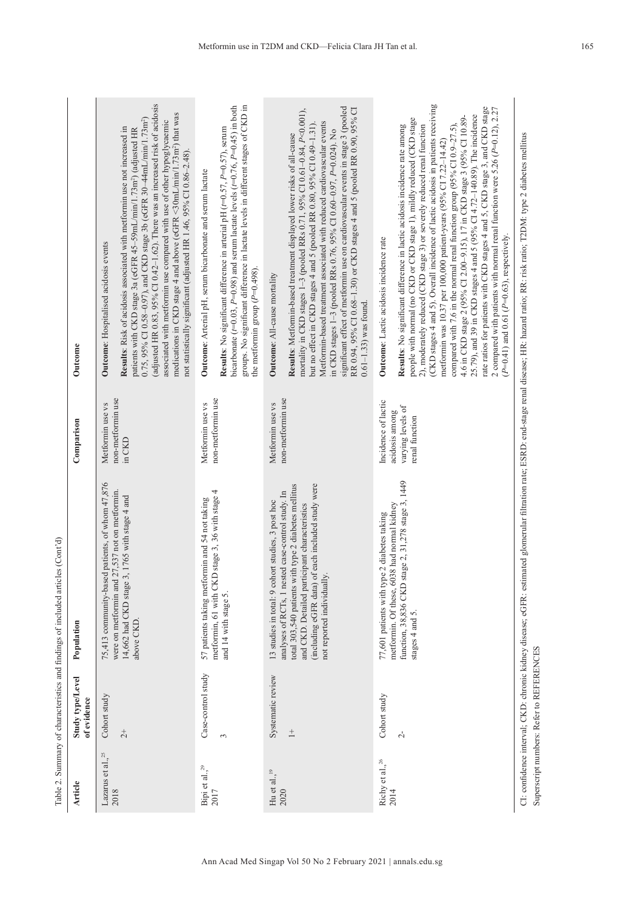| Article                             | Study type/Level<br>of evidence          | Population                                                                                                                                                                                                                                    | Comparison                            | Outcome                                                                                                                                                                                                                                                                                                                                                                                                                                                                                                                                                                                                                                                                                                                                                                                                                                         |
|-------------------------------------|------------------------------------------|-----------------------------------------------------------------------------------------------------------------------------------------------------------------------------------------------------------------------------------------------|---------------------------------------|-------------------------------------------------------------------------------------------------------------------------------------------------------------------------------------------------------------------------------------------------------------------------------------------------------------------------------------------------------------------------------------------------------------------------------------------------------------------------------------------------------------------------------------------------------------------------------------------------------------------------------------------------------------------------------------------------------------------------------------------------------------------------------------------------------------------------------------------------|
| Lazarus et al., <sup>25</sup>       | Cohort study                             | 75,413 community-based patients, of whom 47,876                                                                                                                                                                                               | Metformin use vs                      | Outcome: Hospitalised acidosis events                                                                                                                                                                                                                                                                                                                                                                                                                                                                                                                                                                                                                                                                                                                                                                                                           |
| 2018                                | $\overline{c}$                           | were on metformin and 27,537 not on metformin.<br>14,662 had CKD stage 3, 1765 with stage 4 and<br>above CKD                                                                                                                                  | non-metformin use<br>in CKD           | (adjusted HR 0.83, 95% CI 0.42-1.62). There was an increased risk of acidosis<br>medications in CKD stage 4 and above (eGFR <30mL/min/1.73m <sup>2</sup> ) that was<br>0.75, 95% CI 0.58-0.97), and CKD stage 3b (eGFR 30-44mL/min/1.73m <sup>2</sup> )<br>associated with metformin use compared with use of other hypoglycaemic<br>Results: Risk of acidosis associated with metformin use not increased in<br>patients with CKD stage 3a (eGFR 45-59mL/min/1.73m <sup>2</sup> ) (adjusted HR<br>not statistically significant (adjusted HR 1.46, 95% CI 0.86-2.48).                                                                                                                                                                                                                                                                          |
| Bipi et al., <sup>29</sup><br>2017  | Case-control study                       | 57 patients taking metformin and 54 not taking                                                                                                                                                                                                | Metformin use vs                      | Outcome: Arterial pH, serum bicarbonate and serum lactate                                                                                                                                                                                                                                                                                                                                                                                                                                                                                                                                                                                                                                                                                                                                                                                       |
|                                     | 3                                        | metformin, 61 with CKD stage 3, 36 with stage 4<br>and 14 with stage 5.                                                                                                                                                                       | non-metformin use                     | groups. No significant difference in lactate levels in different stages of CKD in<br>bicarbonate ( $t=0.03$ , $P=0.98$ ) and serum lactate levels ( $t=0.76$ , $P=0.45$ ) in both<br>Results: No significant difference in arterial pH $(t=0.57, P=0.57)$ , serum<br>the metformin group $(P=0.498)$ .                                                                                                                                                                                                                                                                                                                                                                                                                                                                                                                                          |
| Hu et al., $^{19}$<br>2020          | Systematic review                        | 13 studies in total: 9 cohort studies, 3 post hoc                                                                                                                                                                                             | Metformin use vs                      | Outcome: All-cause mortality                                                                                                                                                                                                                                                                                                                                                                                                                                                                                                                                                                                                                                                                                                                                                                                                                    |
|                                     | $\overset{+}{-}$                         | (including eGFR data) of each included study were<br>total 303,540 patients with type 2 diabetes mellitus<br>analyses of RCTs, 1 nested case-control study. In<br>and CKD. Detailed participant characteristics<br>not reported individually. | non-metformin use                     | significant effect of metformin use on cardiovascular events in stage 3 (pooled<br>RR 0.94, 95% CI 0.68-1.30) or CKD stages 4 and 5 (pooled RR 0.90, 95% CI<br>mortality in CKD stages 1-3 (pooled RRs 0.71, 95% CI 0.61-0.84, P<0.001),<br>Metformin-based treatment associated with reduced cardiovascular events<br>but no effect in CKD stages 4 and 5 (pooled RR 0.80, 95% CI 0.49-1.31).<br>in CKD stages 1-3 (pooled RRs 0.76, 95% CI 0.60-0.97, P=0.024). No<br>Results: Metformin-based treatment displayed lower risks of all-cause<br>$0.61 - 1.33$ was found.                                                                                                                                                                                                                                                                       |
| Richy et al., <sup>26</sup><br>2014 | Cohort study                             | metformin. Of these, 6038 had normal kidney<br>77,601 patients with type 2 diabetes taking                                                                                                                                                    | Incidence of lactic<br>acidosis among | Outcome: Lactic acidosis incidence rate                                                                                                                                                                                                                                                                                                                                                                                                                                                                                                                                                                                                                                                                                                                                                                                                         |
|                                     | $\overline{c}$                           | stage 2, 31,278 stage 3, 1449<br>function, 38,836 CKD<br>stages 4 and 5.                                                                                                                                                                      | varying levels of<br>renal function   | (CKD stages 4 and 5). Overall incidence of lactic acidosis in patients receiving<br>rate ratios for patients with CKD stages 4 and 5, CKD stage 3, and CKD stage<br>2 compared with patients with normal renal function were 5.26 (P=0.12), 2.27<br>25.79), and 39 in CKD stages 4 and 5 (95% CI 4.72-140.89). The incidence<br>4.6 in CKD stage 2 (95% Cl 2.00-9.15), 17 in CKD stage 3 (95% Cl 10.89-<br>people with normal (no CKD or CKD stage 1), mildly reduced (CKD stage<br>Results: No significant difference in lactic acidosis incidence rate among<br>compared with 7.6 in the normal renal function group (95% CI $0.9-27.5$ ),<br>2), moderately reduced (CKD stage 3) or severely reduced renal function<br>metformin was 10.37 per 100,000 patient-years (95% CI 7.22-14.42)<br>$(P=0.41)$ and 0.61 ( $P=0.63$ ), respectively. |
|                                     | Superscript numbers: Refer to REFERENCES |                                                                                                                                                                                                                                               |                                       | CI: confidence interval; CKD: chronic kidney disease; eGFR: estimated glomerular filtration rate; ESRD: end-stage renal disease; HR: hazard ratio; RR: risk ratio; T2DM: type 2 diabetes mellitus                                                                                                                                                                                                                                                                                                                                                                                                                                                                                                                                                                                                                                               |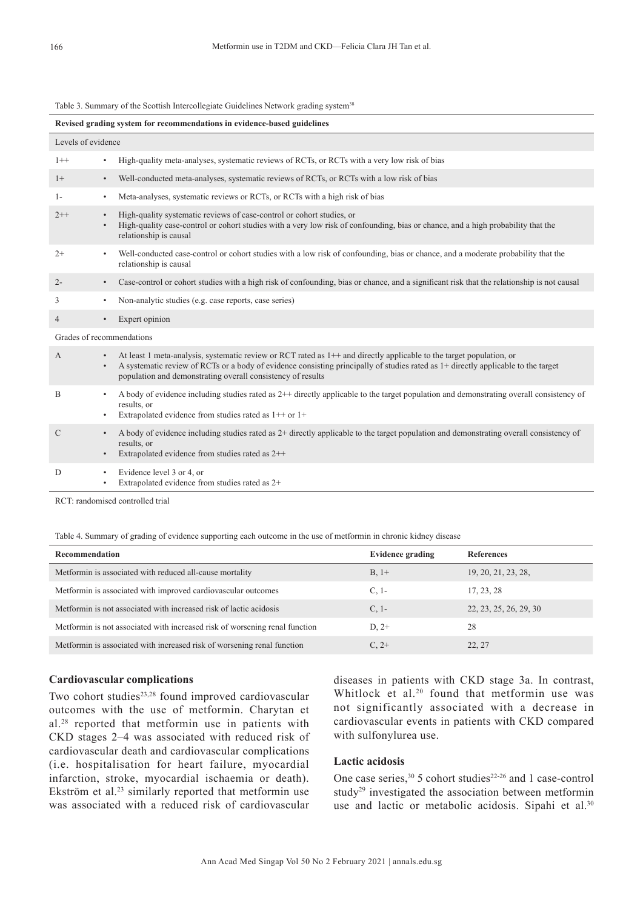Table 3. Summary of the Scottish Intercollegiate Guidelines Network grading system<sup>38</sup>

| Revised grading system for recommendations in evidence-based guidelines |                                                                                                                                                                                                                                                                                                                                                      |  |  |  |
|-------------------------------------------------------------------------|------------------------------------------------------------------------------------------------------------------------------------------------------------------------------------------------------------------------------------------------------------------------------------------------------------------------------------------------------|--|--|--|
| Levels of evidence                                                      |                                                                                                                                                                                                                                                                                                                                                      |  |  |  |
| $1++$                                                                   | High-quality meta-analyses, systematic reviews of RCTs, or RCTs with a very low risk of bias<br>$\bullet$                                                                                                                                                                                                                                            |  |  |  |
| $1+$                                                                    | Well-conducted meta-analyses, systematic reviews of RCTs, or RCTs with a low risk of bias<br>$\bullet$                                                                                                                                                                                                                                               |  |  |  |
| $1-$                                                                    | Meta-analyses, systematic reviews or RCTs, or RCTs with a high risk of bias<br>$\bullet$                                                                                                                                                                                                                                                             |  |  |  |
| $2++$                                                                   | High-quality systematic reviews of case-control or cohort studies, or<br>$\bullet$<br>High-quality case-control or cohort studies with a very low risk of confounding, bias or chance, and a high probability that the<br>$\bullet$<br>relationship is causal                                                                                        |  |  |  |
| $2+$                                                                    | Well-conducted case-control or cohort studies with a low risk of confounding, bias or chance, and a moderate probability that the<br>$\bullet$<br>relationship is causal                                                                                                                                                                             |  |  |  |
| $2 -$                                                                   | Case-control or cohort studies with a high risk of confounding, bias or chance, and a significant risk that the relationship is not causal<br>$\bullet$                                                                                                                                                                                              |  |  |  |
| 3                                                                       | Non-analytic studies (e.g. case reports, case series)<br>$\bullet$                                                                                                                                                                                                                                                                                   |  |  |  |
| $\overline{4}$                                                          | Expert opinion<br>$\bullet$                                                                                                                                                                                                                                                                                                                          |  |  |  |
|                                                                         | Grades of recommendations                                                                                                                                                                                                                                                                                                                            |  |  |  |
| A                                                                       | At least 1 meta-analysis, systematic review or RCT rated as $1++$ and directly applicable to the target population, or<br>$\bullet$<br>A systematic review of RCTs or a body of evidence consisting principally of studies rated as 1+ directly applicable to the target<br>$\bullet$<br>population and demonstrating overall consistency of results |  |  |  |
| B                                                                       | A body of evidence including studies rated as 2++ directly applicable to the target population and demonstrating overall consistency of<br>$\bullet$<br>results, or<br>Extrapolated evidence from studies rated as $1++$ or $1+$<br>$\bullet$                                                                                                        |  |  |  |
| $\mathcal{C}$                                                           | A body of evidence including studies rated as $2+$ directly applicable to the target population and demonstrating overall consistency of<br>$\bullet$<br>results, or<br>Extrapolated evidence from studies rated as 2++<br>٠                                                                                                                         |  |  |  |
| D                                                                       | Evidence level 3 or 4, or<br>$\bullet$<br>Extrapolated evidence from studies rated as 2+<br>$\bullet$                                                                                                                                                                                                                                                |  |  |  |

RCT: randomised controlled trial

Table 4. Summary of grading of evidence supporting each outcome in the use of metformin in chronic kidney disease

| <b>Recommendation</b>                                                       | <b>Evidence grading</b> | <b>References</b>      |
|-----------------------------------------------------------------------------|-------------------------|------------------------|
| Metformin is associated with reduced all-cause mortality                    | $B, 1+$                 | 19, 20, 21, 23, 28,    |
| Metformin is associated with improved cardiovascular outcomes               | $C, 1-$                 | 17, 23, 28             |
| Metformin is not associated with increased risk of lactic acidosis          | $C, 1-$                 | 22, 23, 25, 26, 29, 30 |
| Metformin is not associated with increased risk of worsening renal function | $D.2+$                  | 28                     |
| Metformin is associated with increased risk of worsening renal function     | $C. 2+$                 | 22.27                  |

# **Cardiovascular complications**

Two cohort studies<sup>23,28</sup> found improved cardiovascular outcomes with the use of metformin. Charytan et al.28 reported that metformin use in patients with CKD stages 2–4 was associated with reduced risk of cardiovascular death and cardiovascular complications (i.e. hospitalisation for heart failure, myocardial infarction, stroke, myocardial ischaemia or death). Ekström et al.<sup>23</sup> similarly reported that metformin use was associated with a reduced risk of cardiovascular

diseases in patients with CKD stage 3a. In contrast, Whitlock et al.<sup>20</sup> found that metformin use was not significantly associated with a decrease in cardiovascular events in patients with CKD compared with sulfonylurea use.

# **Lactic acidosis**

One case series,  $30\,5$  cohort studies<sup>22-26</sup> and 1 case-control study<sup>29</sup> investigated the association between metformin use and lactic or metabolic acidosis. Sipahi et al.<sup>30</sup>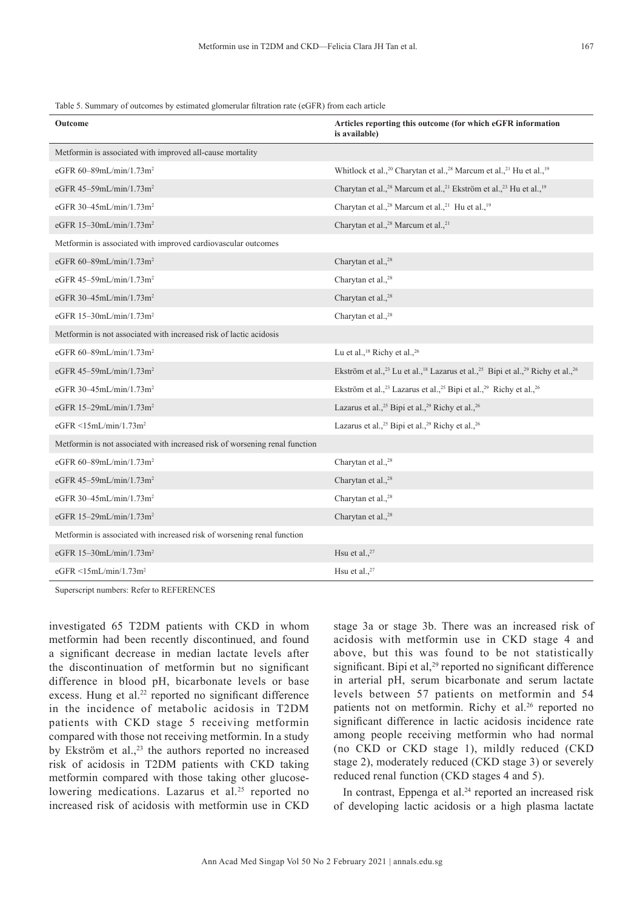Table 5. Summary of outcomes by estimated glomerular filtration rate (eGFR) from each article

| Outcome                                                                     | Articles reporting this outcome (for which eGFR information<br>is available)                                                                |
|-----------------------------------------------------------------------------|---------------------------------------------------------------------------------------------------------------------------------------------|
| Metformin is associated with improved all-cause mortality                   |                                                                                                                                             |
| eGFR 60-89mL/min/1.73m <sup>2</sup>                                         | Whitlock et al., <sup>20</sup> Charytan et al., <sup>28</sup> Marcum et al., <sup>21</sup> Hu et al., <sup>19</sup>                         |
| eGFR 45-59mL/min/1.73m <sup>2</sup>                                         | Charytan et al., <sup>28</sup> Marcum et al., <sup>21</sup> Ekström et al., <sup>23</sup> Hu et al., <sup>19</sup>                          |
| eGFR 30-45mL/min/1.73m <sup>2</sup>                                         | Charytan et al., <sup>28</sup> Marcum et al., <sup>21</sup> Hu et al., <sup>19</sup>                                                        |
| eGFR 15-30mL/min/1.73m <sup>2</sup>                                         | Charytan et al., <sup>28</sup> Marcum et al., <sup>21</sup>                                                                                 |
| Metformin is associated with improved cardiovascular outcomes               |                                                                                                                                             |
| eGFR 60-89mL/min/1.73m <sup>2</sup>                                         | Charytan et al., <sup>28</sup>                                                                                                              |
| eGFR 45-59mL/min/1.73m <sup>2</sup>                                         | Charytan et al., <sup>28</sup>                                                                                                              |
| eGFR 30-45mL/min/1.73m <sup>2</sup>                                         | Charytan et al., <sup>28</sup>                                                                                                              |
| eGFR 15-30mL/min/1.73m <sup>2</sup>                                         | Charytan et al., <sup>28</sup>                                                                                                              |
| Metformin is not associated with increased risk of lactic acidosis          |                                                                                                                                             |
| eGFR 60-89mL/min/1.73m <sup>2</sup>                                         | Lu et al., <sup>18</sup> Richy et al., <sup>26</sup>                                                                                        |
| eGFR 45-59mL/min/1.73m <sup>2</sup>                                         | Ekström et al., <sup>23</sup> Lu et al., <sup>18</sup> Lazarus et al., <sup>25</sup> Bipi et al., <sup>29</sup> Richy et al., <sup>26</sup> |
| eGFR 30-45mL/min/1.73m <sup>2</sup>                                         | Ekström et al., <sup>23</sup> Lazarus et al., <sup>25</sup> Bipi et al., <sup>29</sup> Richy et al., <sup>26</sup>                          |
| eGFR 15-29mL/min/1.73m <sup>2</sup>                                         | Lazarus et al., <sup>25</sup> Bipi et al., <sup>29</sup> Richy et al., <sup>26</sup>                                                        |
| eGFR $\leq$ 15mL/min/1.73m <sup>2</sup>                                     | Lazarus et al., <sup>25</sup> Bipi et al., <sup>29</sup> Richy et al., <sup>26</sup>                                                        |
| Metformin is not associated with increased risk of worsening renal function |                                                                                                                                             |
| eGFR 60-89mL/min/1.73m <sup>2</sup>                                         | Charytan et al., <sup>28</sup>                                                                                                              |
| eGFR 45-59mL/min/1.73m <sup>2</sup>                                         | Charytan et al., <sup>28</sup>                                                                                                              |
| eGFR 30-45mL/min/1.73m <sup>2</sup>                                         | Charytan et al., <sup>28</sup>                                                                                                              |
| eGFR 15-29mL/min/1.73m <sup>2</sup>                                         | Charytan et al., <sup>28</sup>                                                                                                              |
| Metformin is associated with increased risk of worsening renal function     |                                                                                                                                             |
| eGFR 15-30mL/min/1.73m <sup>2</sup>                                         | Hsu et al., <sup>27</sup>                                                                                                                   |
| eGFR $\leq$ 15mL/min/1.73m <sup>2</sup>                                     | Hsu et al., $27$                                                                                                                            |

Superscript numbers: Refer to REFERENCES

investigated 65 T2DM patients with CKD in whom metformin had been recently discontinued, and found a significant decrease in median lactate levels after the discontinuation of metformin but no significant difference in blood pH, bicarbonate levels or base excess. Hung et al.<sup>22</sup> reported no significant difference in the incidence of metabolic acidosis in T2DM patients with CKD stage 5 receiving metformin compared with those not receiving metformin. In a study by Ekström et al., $23$  the authors reported no increased risk of acidosis in T2DM patients with CKD taking metformin compared with those taking other glucoselowering medications. Lazarus et al. $25$  reported no increased risk of acidosis with metformin use in CKD

stage 3a or stage 3b. There was an increased risk of acidosis with metformin use in CKD stage 4 and above, but this was found to be not statistically significant. Bipi et al, $29$  reported no significant difference in arterial pH, serum bicarbonate and serum lactate levels between 57 patients on metformin and 54 patients not on metformin. Richy et al.<sup>26</sup> reported no significant difference in lactic acidosis incidence rate among people receiving metformin who had normal (no CKD or CKD stage 1), mildly reduced (CKD stage 2), moderately reduced (CKD stage 3) or severely reduced renal function (CKD stages 4 and 5).

In contrast, Eppenga et al. $24$  reported an increased risk of developing lactic acidosis or a high plasma lactate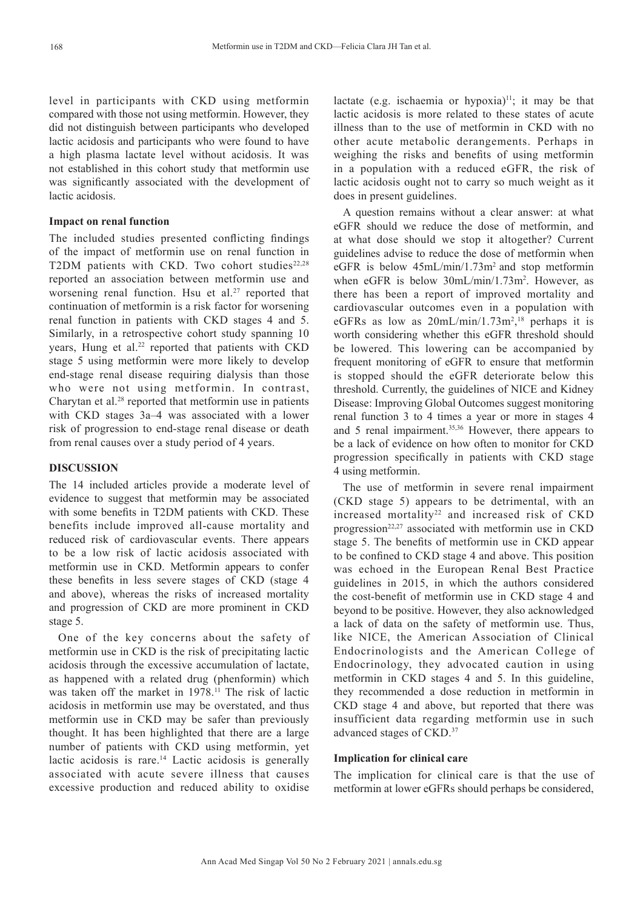level in participants with CKD using metformin compared with those not using metformin. However, they did not distinguish between participants who developed lactic acidosis and participants who were found to have a high plasma lactate level without acidosis. It was not established in this cohort study that metformin use was significantly associated with the development of lactic acidosis.

## **Impact on renal function**

The included studies presented conflicting findings of the impact of metformin use on renal function in T2DM patients with CKD. Two cohort studies<sup>22,28</sup> reported an association between metformin use and worsening renal function. Hsu et al.<sup>27</sup> reported that continuation of metformin is a risk factor for worsening renal function in patients with CKD stages 4 and 5. Similarly, in a retrospective cohort study spanning 10 years, Hung et al.<sup>22</sup> reported that patients with CKD stage 5 using metformin were more likely to develop end-stage renal disease requiring dialysis than those who were not using metformin. In contrast, Charytan et al.<sup>28</sup> reported that metformin use in patients with CKD stages 3a–4 was associated with a lower risk of progression to end-stage renal disease or death from renal causes over a study period of 4 years.

# **DISCUSSION**

The 14 included articles provide a moderate level of evidence to suggest that metformin may be associated with some benefits in T2DM patients with CKD. These benefits include improved all-cause mortality and reduced risk of cardiovascular events. There appears to be a low risk of lactic acidosis associated with metformin use in CKD. Metformin appears to confer these benefits in less severe stages of CKD (stage 4 and above), whereas the risks of increased mortality and progression of CKD are more prominent in CKD stage 5.

One of the key concerns about the safety of metformin use in CKD is the risk of precipitating lactic acidosis through the excessive accumulation of lactate, as happened with a related drug (phenformin) which was taken off the market in 1978.<sup>11</sup> The risk of lactic acidosis in metformin use may be overstated, and thus metformin use in CKD may be safer than previously thought. It has been highlighted that there are a large number of patients with CKD using metformin, yet lactic acidosis is rare.<sup>14</sup> Lactic acidosis is generally associated with acute severe illness that causes excessive production and reduced ability to oxidise lactate (e.g. ischaemia or hypoxia) $\frac{11}{11}$ ; it may be that lactic acidosis is more related to these states of acute illness than to the use of metformin in CKD with no other acute metabolic derangements. Perhaps in weighing the risks and benefits of using metformin in a population with a reduced eGFR, the risk of lactic acidosis ought not to carry so much weight as it does in present guidelines.

A question remains without a clear answer: at what eGFR should we reduce the dose of metformin, and at what dose should we stop it altogether? Current guidelines advise to reduce the dose of metformin when eGFR is below  $45mL/min/1.73m<sup>2</sup>$  and stop metformin when eGFR is below  $30$ mL/min/1.73m<sup>2</sup>. However, as there has been a report of improved mortality and cardiovascular outcomes even in a population with eGFRs as low as  $20mL/min/1.73m^2$ ,<sup>18</sup> perhaps it is worth considering whether this eGFR threshold should be lowered. This lowering can be accompanied by frequent monitoring of eGFR to ensure that metformin is stopped should the eGFR deteriorate below this threshold. Currently, the guidelines of NICE and Kidney Disease: Improving Global Outcomes suggest monitoring renal function 3 to 4 times a year or more in stages 4 and 5 renal impairment.35,36 However, there appears to be a lack of evidence on how often to monitor for CKD progression specifically in patients with CKD stage 4 using metformin.

The use of metformin in severe renal impairment (CKD stage 5) appears to be detrimental, with an increased mortality<sup>22</sup> and increased risk of  $CKD$ progression<sup>22,27</sup> associated with metformin use in CKD stage 5. The benefits of metformin use in CKD appear to be confined to CKD stage 4 and above. This position was echoed in the European Renal Best Practice guidelines in 2015, in which the authors considered the cost-benefit of metformin use in CKD stage 4 and beyond to be positive. However, they also acknowledged a lack of data on the safety of metformin use. Thus, like NICE, the American Association of Clinical Endocrinologists and the American College of Endocrinology, they advocated caution in using metformin in CKD stages 4 and 5. In this guideline, they recommended a dose reduction in metformin in CKD stage 4 and above, but reported that there was insufficient data regarding metformin use in such advanced stages of CKD.<sup>37</sup>

### **Implication for clinical care**

The implication for clinical care is that the use of metformin at lower eGFRs should perhaps be considered,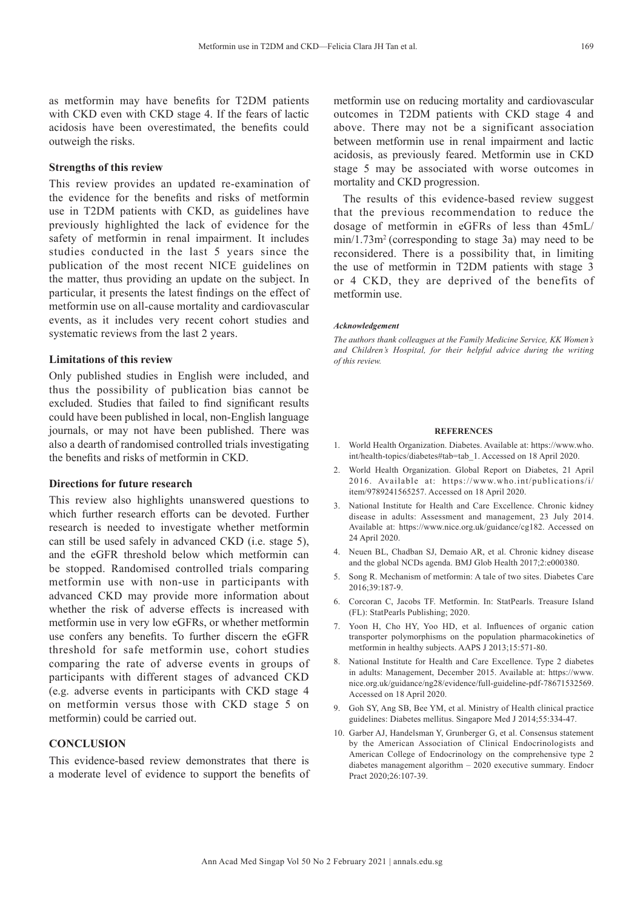as metformin may have benefits for T2DM patients with CKD even with CKD stage 4. If the fears of lactic acidosis have been overestimated, the benefits could outweigh the risks.

# **Strengths of this review**

This review provides an updated re-examination of the evidence for the benefits and risks of metformin use in T2DM patients with CKD, as guidelines have previously highlighted the lack of evidence for the safety of metformin in renal impairment. It includes studies conducted in the last 5 years since the publication of the most recent NICE guidelines on the matter, thus providing an update on the subject. In particular, it presents the latest findings on the effect of metformin use on all-cause mortality and cardiovascular events, as it includes very recent cohort studies and systematic reviews from the last 2 years.

## **Limitations of this review**

Only published studies in English were included, and thus the possibility of publication bias cannot be excluded. Studies that failed to find significant results could have been published in local, non-English language journals, or may not have been published. There was also a dearth of randomised controlled trials investigating the benefits and risks of metformin in CKD.

## **Directions for future research**

This review also highlights unanswered questions to which further research efforts can be devoted. Further research is needed to investigate whether metformin can still be used safely in advanced CKD (i.e. stage 5), and the eGFR threshold below which metformin can be stopped. Randomised controlled trials comparing metformin use with non-use in participants with advanced CKD may provide more information about whether the risk of adverse effects is increased with metformin use in very low eGFRs, or whether metformin use confers any benefits. To further discern the eGFR threshold for safe metformin use, cohort studies comparing the rate of adverse events in groups of participants with different stages of advanced CKD (e.g. adverse events in participants with CKD stage 4 on metformin versus those with CKD stage 5 on metformin) could be carried out.

# **CONCLUSION**

This evidence-based review demonstrates that there is a moderate level of evidence to support the benefits of

metformin use on reducing mortality and cardiovascular outcomes in T2DM patients with CKD stage 4 and above. There may not be a significant association between metformin use in renal impairment and lactic acidosis, as previously feared. Metformin use in CKD stage 5 may be associated with worse outcomes in mortality and CKD progression.

The results of this evidence-based review suggest that the previous recommendation to reduce the dosage of metformin in eGFRs of less than 45mL/  $min/1.73m<sup>2</sup>$  (corresponding to stage 3a) may need to be reconsidered. There is a possibility that, in limiting the use of metformin in T2DM patients with stage 3 or 4 CKD, they are deprived of the benefits of metformin use.

#### *Acknowledgement*

*The authors thank colleagues at the Family Medicine Service, KK Women's and Children's Hospital, for their helpful advice during the writing of this review.*

#### **REFERENCES**

- 1. World Health Organization. Diabetes. Available at: https://www.who. int/health-topics/diabetes#tab=tab\_1. Accessed on 18 April 2020.
- 2. World Health Organization. Global Report on Diabetes, 21 April 2016. Available at: https://www.who.int/publications/i/ item/9789241565257. Accessed on 18 April 2020.
- 3. National Institute for Health and Care Excellence. Chronic kidney disease in adults: Assessment and management, 23 July 2014. Available at: https://www.nice.org.uk/guidance/cg182. Accessed on 24 April 2020.
- 4. Neuen BL, Chadban SJ, Demaio AR, et al. Chronic kidney disease and the global NCDs agenda. BMJ Glob Health 2017;2:e000380.
- 5. Song R. Mechanism of metformin: A tale of two sites. Diabetes Care 2016;39:187-9.
- 6. Corcoran C, Jacobs TF. Metformin. In: StatPearls. Treasure Island (FL): StatPearls Publishing; 2020.
- 7. Yoon H, Cho HY, Yoo HD, et al. Influences of organic cation transporter polymorphisms on the population pharmacokinetics of metformin in healthy subjects. AAPS J 2013;15:571-80.
- 8. National Institute for Health and Care Excellence. Type 2 diabetes in adults: Management, December 2015. Available at: https://www. nice.org.uk/guidance/ng28/evidence/full-guideline-pdf-78671532569. Accessed on 18 April 2020.
- 9. Goh SY, Ang SB, Bee YM, et al. Ministry of Health clinical practice guidelines: Diabetes mellitus. Singapore Med J 2014;55:334-47.
- 10. Garber AJ, Handelsman Y, Grunberger G, et al. Consensus statement by the American Association of Clinical Endocrinologists and American College of Endocrinology on the comprehensive type 2 diabetes management algorithm – 2020 executive summary. Endocr Pract 2020;26:107-39.